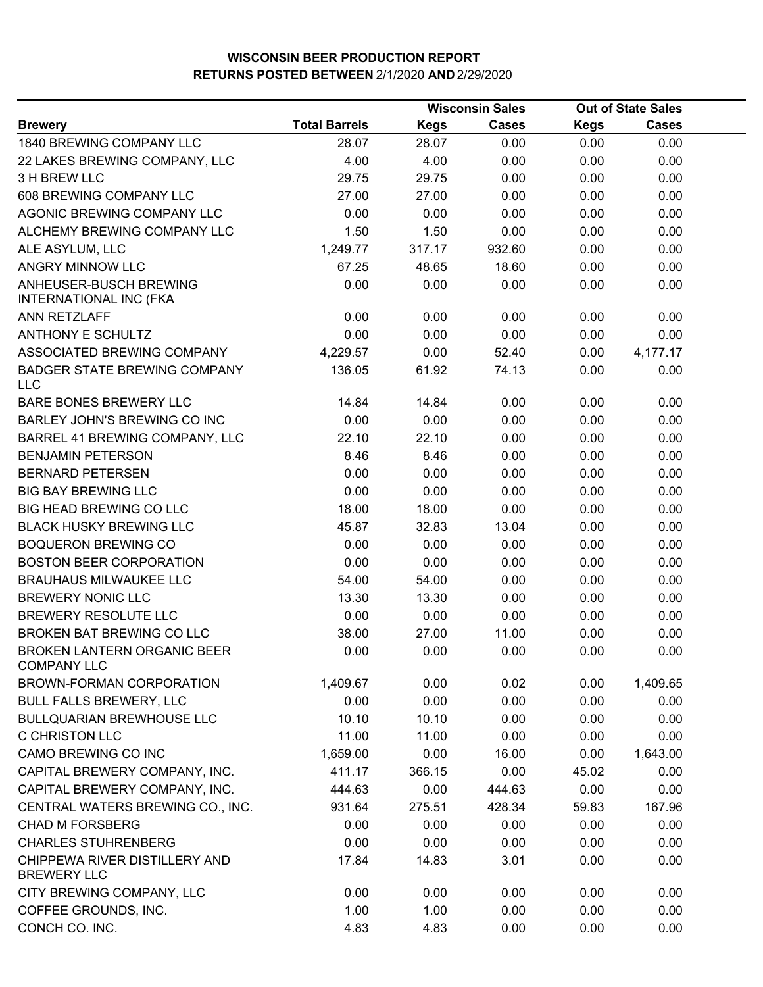|                                                          | <b>Wisconsin Sales</b> |             |              | <b>Out of State Sales</b> |              |  |
|----------------------------------------------------------|------------------------|-------------|--------------|---------------------------|--------------|--|
| <b>Brewery</b>                                           | <b>Total Barrels</b>   | <b>Kegs</b> | <b>Cases</b> | <b>Kegs</b>               | <b>Cases</b> |  |
| 1840 BREWING COMPANY LLC                                 | 28.07                  | 28.07       | 0.00         | 0.00                      | 0.00         |  |
| 22 LAKES BREWING COMPANY, LLC                            | 4.00                   | 4.00        | 0.00         | 0.00                      | 0.00         |  |
| 3 H BREW LLC                                             | 29.75                  | 29.75       | 0.00         | 0.00                      | 0.00         |  |
| 608 BREWING COMPANY LLC                                  | 27.00                  | 27.00       | 0.00         | 0.00                      | 0.00         |  |
| AGONIC BREWING COMPANY LLC                               | 0.00                   | 0.00        | 0.00         | 0.00                      | 0.00         |  |
| ALCHEMY BREWING COMPANY LLC                              | 1.50                   | 1.50        | 0.00         | 0.00                      | 0.00         |  |
| ALE ASYLUM, LLC                                          | 1,249.77               | 317.17      | 932.60       | 0.00                      | 0.00         |  |
| ANGRY MINNOW LLC                                         | 67.25                  | 48.65       | 18.60        | 0.00                      | 0.00         |  |
| ANHEUSER-BUSCH BREWING<br>INTERNATIONAL INC (FKA         | 0.00                   | 0.00        | 0.00         | 0.00                      | 0.00         |  |
| ANN RETZLAFF                                             | 0.00                   | 0.00        | 0.00         | 0.00                      | 0.00         |  |
| <b>ANTHONY E SCHULTZ</b>                                 | 0.00                   | 0.00        | 0.00         | 0.00                      | 0.00         |  |
| ASSOCIATED BREWING COMPANY                               | 4,229.57               | 0.00        | 52.40        | 0.00                      | 4,177.17     |  |
| <b>BADGER STATE BREWING COMPANY</b><br>LLC               | 136.05                 | 61.92       | 74.13        | 0.00                      | 0.00         |  |
| BARE BONES BREWERY LLC                                   | 14.84                  | 14.84       | 0.00         | 0.00                      | 0.00         |  |
| BARLEY JOHN'S BREWING CO INC                             | 0.00                   | 0.00        | 0.00         | 0.00                      | 0.00         |  |
| BARREL 41 BREWING COMPANY, LLC                           | 22.10                  | 22.10       | 0.00         | 0.00                      | 0.00         |  |
| <b>BENJAMIN PETERSON</b>                                 | 8.46                   | 8.46        | 0.00         | 0.00                      | 0.00         |  |
| <b>BERNARD PETERSEN</b>                                  | 0.00                   | 0.00        | 0.00         | 0.00                      | 0.00         |  |
| <b>BIG BAY BREWING LLC</b>                               | 0.00                   | 0.00        | 0.00         | 0.00                      | 0.00         |  |
| BIG HEAD BREWING CO LLC                                  | 18.00                  | 18.00       | 0.00         | 0.00                      | 0.00         |  |
| <b>BLACK HUSKY BREWING LLC</b>                           | 45.87                  | 32.83       | 13.04        | 0.00                      | 0.00         |  |
| <b>BOQUERON BREWING CO</b>                               | 0.00                   | 0.00        | 0.00         | 0.00                      | 0.00         |  |
| <b>BOSTON BEER CORPORATION</b>                           | 0.00                   | 0.00        | 0.00         | 0.00                      | 0.00         |  |
| <b>BRAUHAUS MILWAUKEE LLC</b>                            | 54.00                  | 54.00       | 0.00         | 0.00                      | 0.00         |  |
| <b>BREWERY NONIC LLC</b>                                 | 13.30                  | 13.30       | 0.00         | 0.00                      | 0.00         |  |
| BREWERY RESOLUTE LLC                                     | 0.00                   | 0.00        | 0.00         | 0.00                      | 0.00         |  |
| <b>BROKEN BAT BREWING CO LLC</b>                         | 38.00                  | 27.00       | 11.00        | 0.00                      | 0.00         |  |
| <b>BROKEN LANTERN ORGANIC BEER</b><br><b>COMPANY LLC</b> | 0.00                   | 0.00        | 0.00         | 0.00                      | 0.00         |  |
| <b>BROWN-FORMAN CORPORATION</b>                          | 1,409.67               | 0.00        | 0.02         | 0.00                      | 1,409.65     |  |
| <b>BULL FALLS BREWERY, LLC</b>                           | 0.00                   | 0.00        | 0.00         | 0.00                      | 0.00         |  |
| <b>BULLQUARIAN BREWHOUSE LLC</b>                         | 10.10                  | 10.10       | 0.00         | 0.00                      | 0.00         |  |
| <b>C CHRISTON LLC</b>                                    | 11.00                  | 11.00       | 0.00         | 0.00                      | 0.00         |  |
| CAMO BREWING CO INC                                      | 1,659.00               | 0.00        | 16.00        | 0.00                      | 1,643.00     |  |
| CAPITAL BREWERY COMPANY, INC.                            | 411.17                 | 366.15      | 0.00         | 45.02                     | 0.00         |  |
| CAPITAL BREWERY COMPANY, INC.                            | 444.63                 | 0.00        | 444.63       | 0.00                      | 0.00         |  |
| CENTRAL WATERS BREWING CO., INC.                         | 931.64                 | 275.51      | 428.34       | 59.83                     | 167.96       |  |
| <b>CHAD M FORSBERG</b>                                   | 0.00                   | 0.00        | 0.00         | 0.00                      | 0.00         |  |
| <b>CHARLES STUHRENBERG</b>                               | 0.00                   | 0.00        | 0.00         | 0.00                      | 0.00         |  |
| CHIPPEWA RIVER DISTILLERY AND<br><b>BREWERY LLC</b>      | 17.84                  | 14.83       | 3.01         | 0.00                      | 0.00         |  |
| CITY BREWING COMPANY, LLC                                | 0.00                   | 0.00        | 0.00         | 0.00                      | 0.00         |  |
| COFFEE GROUNDS, INC.                                     | 1.00                   | 1.00        | 0.00         | 0.00                      | 0.00         |  |
| CONCH CO. INC.                                           | 4.83                   | 4.83        | 0.00         | 0.00                      | 0.00         |  |
|                                                          |                        |             |              |                           |              |  |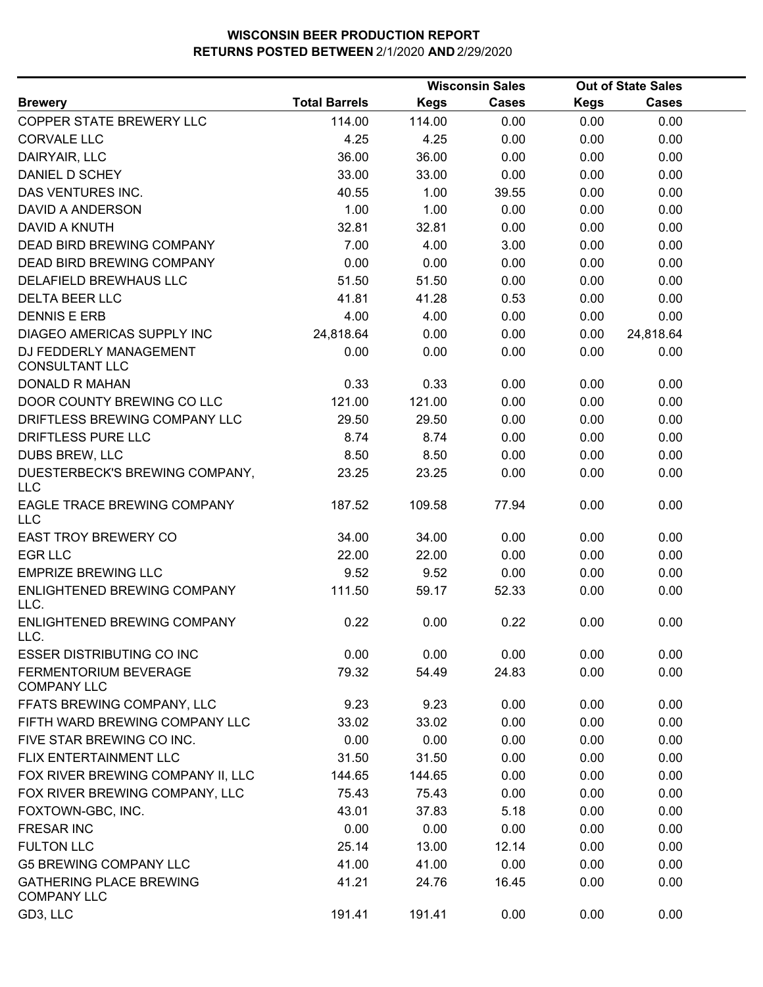|                                                      |                      |             | <b>Wisconsin Sales</b> |             | <b>Out of State Sales</b> |  |
|------------------------------------------------------|----------------------|-------------|------------------------|-------------|---------------------------|--|
| <b>Brewery</b>                                       | <b>Total Barrels</b> | <b>Kegs</b> | Cases                  | <b>Kegs</b> | <b>Cases</b>              |  |
| COPPER STATE BREWERY LLC                             | 114.00               | 114.00      | 0.00                   | 0.00        | 0.00                      |  |
| <b>CORVALE LLC</b>                                   | 4.25                 | 4.25        | 0.00                   | 0.00        | 0.00                      |  |
| DAIRYAIR, LLC                                        | 36.00                | 36.00       | 0.00                   | 0.00        | 0.00                      |  |
| DANIEL D SCHEY                                       | 33.00                | 33.00       | 0.00                   | 0.00        | 0.00                      |  |
| DAS VENTURES INC.                                    | 40.55                | 1.00        | 39.55                  | 0.00        | 0.00                      |  |
| DAVID A ANDERSON                                     | 1.00                 | 1.00        | 0.00                   | 0.00        | 0.00                      |  |
| DAVID A KNUTH                                        | 32.81                | 32.81       | 0.00                   | 0.00        | 0.00                      |  |
| <b>DEAD BIRD BREWING COMPANY</b>                     | 7.00                 | 4.00        | 3.00                   | 0.00        | 0.00                      |  |
| DEAD BIRD BREWING COMPANY                            | 0.00                 | 0.00        | 0.00                   | 0.00        | 0.00                      |  |
| DELAFIELD BREWHAUS LLC                               | 51.50                | 51.50       | 0.00                   | 0.00        | 0.00                      |  |
| <b>DELTA BEER LLC</b>                                | 41.81                | 41.28       | 0.53                   | 0.00        | 0.00                      |  |
| <b>DENNIS E ERB</b>                                  | 4.00                 | 4.00        | 0.00                   | 0.00        | 0.00                      |  |
| DIAGEO AMERICAS SUPPLY INC                           | 24,818.64            | 0.00        | 0.00                   | 0.00        | 24,818.64                 |  |
| DJ FEDDERLY MANAGEMENT<br><b>CONSULTANT LLC</b>      | 0.00                 | 0.00        | 0.00                   | 0.00        | 0.00                      |  |
| <b>DONALD R MAHAN</b>                                | 0.33                 | 0.33        | 0.00                   | 0.00        | 0.00                      |  |
| DOOR COUNTY BREWING CO LLC                           | 121.00               | 121.00      | 0.00                   | 0.00        | 0.00                      |  |
| DRIFTLESS BREWING COMPANY LLC                        | 29.50                | 29.50       | 0.00                   | 0.00        | 0.00                      |  |
| DRIFTLESS PURE LLC                                   | 8.74                 | 8.74        | 0.00                   | 0.00        | 0.00                      |  |
| DUBS BREW, LLC                                       | 8.50                 | 8.50        | 0.00                   | 0.00        | 0.00                      |  |
| DUESTERBECK'S BREWING COMPANY,<br><b>LLC</b>         | 23.25                | 23.25       | 0.00                   | 0.00        | 0.00                      |  |
| EAGLE TRACE BREWING COMPANY<br><b>LLC</b>            | 187.52               | 109.58      | 77.94                  | 0.00        | 0.00                      |  |
| <b>EAST TROY BREWERY CO</b>                          | 34.00                | 34.00       | 0.00                   | 0.00        | 0.00                      |  |
| <b>EGR LLC</b>                                       | 22.00                | 22.00       | 0.00                   | 0.00        | 0.00                      |  |
| <b>EMPRIZE BREWING LLC</b>                           | 9.52                 | 9.52        | 0.00                   | 0.00        | 0.00                      |  |
| ENLIGHTENED BREWING COMPANY<br>LLC.                  | 111.50               | 59.17       | 52.33                  | 0.00        | 0.00                      |  |
| <b>ENLIGHTENED BREWING COMPANY</b><br>LLC.           | 0.22                 | 0.00        | 0.22                   | 0.00        | 0.00                      |  |
| <b>ESSER DISTRIBUTING CO INC</b>                     | 0.00                 | 0.00        | 0.00                   | 0.00        | 0.00                      |  |
| FERMENTORIUM BEVERAGE<br><b>COMPANY LLC</b>          | 79.32                | 54.49       | 24.83                  | 0.00        | 0.00                      |  |
| FFATS BREWING COMPANY, LLC                           | 9.23                 | 9.23        | 0.00                   | 0.00        | 0.00                      |  |
| FIFTH WARD BREWING COMPANY LLC                       | 33.02                | 33.02       | 0.00                   | 0.00        | 0.00                      |  |
| FIVE STAR BREWING CO INC.                            | 0.00                 | 0.00        | 0.00                   | 0.00        | 0.00                      |  |
| FLIX ENTERTAINMENT LLC                               | 31.50                | 31.50       | 0.00                   | 0.00        | 0.00                      |  |
| FOX RIVER BREWING COMPANY II, LLC                    | 144.65               | 144.65      | 0.00                   | 0.00        | 0.00                      |  |
| FOX RIVER BREWING COMPANY, LLC                       | 75.43                | 75.43       | 0.00                   | 0.00        | 0.00                      |  |
| FOXTOWN-GBC, INC.                                    | 43.01                | 37.83       | 5.18                   | 0.00        | 0.00                      |  |
| <b>FRESAR INC</b>                                    | 0.00                 | 0.00        | 0.00                   | 0.00        | 0.00                      |  |
| <b>FULTON LLC</b>                                    | 25.14                | 13.00       | 12.14                  | 0.00        | 0.00                      |  |
| <b>G5 BREWING COMPANY LLC</b>                        | 41.00                | 41.00       | 0.00                   | 0.00        | 0.00                      |  |
| <b>GATHERING PLACE BREWING</b><br><b>COMPANY LLC</b> | 41.21                | 24.76       | 16.45                  | 0.00        | 0.00                      |  |
| GD3, LLC                                             | 191.41               | 191.41      | 0.00                   | 0.00        | 0.00                      |  |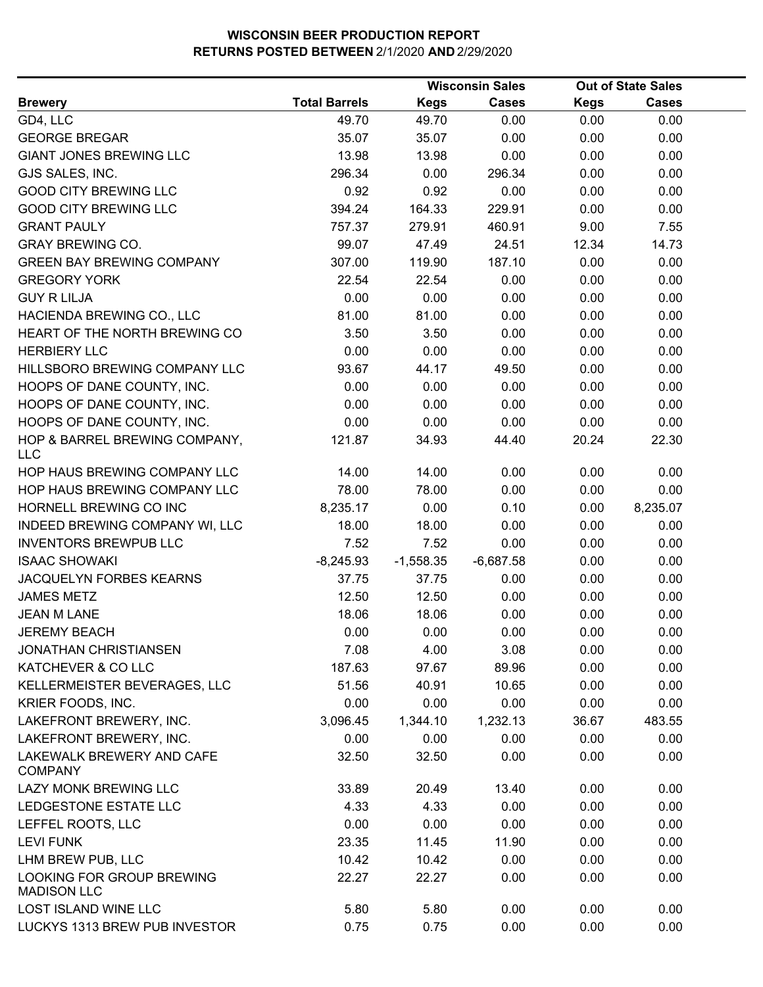|                                                 |                      |             | <b>Wisconsin Sales</b> |             | <b>Out of State Sales</b> |  |
|-------------------------------------------------|----------------------|-------------|------------------------|-------------|---------------------------|--|
| <b>Brewery</b>                                  | <b>Total Barrels</b> | <b>Kegs</b> | <b>Cases</b>           | <b>Kegs</b> | <b>Cases</b>              |  |
| GD4, LLC                                        | 49.70                | 49.70       | 0.00                   | 0.00        | 0.00                      |  |
| <b>GEORGE BREGAR</b>                            | 35.07                | 35.07       | 0.00                   | 0.00        | 0.00                      |  |
| <b>GIANT JONES BREWING LLC</b>                  | 13.98                | 13.98       | 0.00                   | 0.00        | 0.00                      |  |
| GJS SALES, INC.                                 | 296.34               | 0.00        | 296.34                 | 0.00        | 0.00                      |  |
| <b>GOOD CITY BREWING LLC</b>                    | 0.92                 | 0.92        | 0.00                   | 0.00        | 0.00                      |  |
| <b>GOOD CITY BREWING LLC</b>                    | 394.24               | 164.33      | 229.91                 | 0.00        | 0.00                      |  |
| <b>GRANT PAULY</b>                              | 757.37               | 279.91      | 460.91                 | 9.00        | 7.55                      |  |
| <b>GRAY BREWING CO.</b>                         | 99.07                | 47.49       | 24.51                  | 12.34       | 14.73                     |  |
| <b>GREEN BAY BREWING COMPANY</b>                | 307.00               | 119.90      | 187.10                 | 0.00        | 0.00                      |  |
| <b>GREGORY YORK</b>                             | 22.54                | 22.54       | 0.00                   | 0.00        | 0.00                      |  |
| <b>GUY R LILJA</b>                              | 0.00                 | 0.00        | 0.00                   | 0.00        | 0.00                      |  |
| HACIENDA BREWING CO., LLC                       | 81.00                | 81.00       | 0.00                   | 0.00        | 0.00                      |  |
| HEART OF THE NORTH BREWING CO                   | 3.50                 | 3.50        | 0.00                   | 0.00        | 0.00                      |  |
| <b>HERBIERY LLC</b>                             | 0.00                 | 0.00        | 0.00                   | 0.00        | 0.00                      |  |
| HILLSBORO BREWING COMPANY LLC                   | 93.67                | 44.17       | 49.50                  | 0.00        | 0.00                      |  |
| HOOPS OF DANE COUNTY, INC.                      | 0.00                 | 0.00        | 0.00                   | 0.00        | 0.00                      |  |
| HOOPS OF DANE COUNTY, INC.                      | 0.00                 | 0.00        | 0.00                   | 0.00        | 0.00                      |  |
| HOOPS OF DANE COUNTY, INC.                      | 0.00                 | 0.00        | 0.00                   | 0.00        | 0.00                      |  |
| HOP & BARREL BREWING COMPANY,<br><b>LLC</b>     | 121.87               | 34.93       | 44.40                  | 20.24       | 22.30                     |  |
| HOP HAUS BREWING COMPANY LLC                    | 14.00                | 14.00       | 0.00                   | 0.00        | 0.00                      |  |
| HOP HAUS BREWING COMPANY LLC                    | 78.00                | 78.00       | 0.00                   | 0.00        | 0.00                      |  |
| HORNELL BREWING CO INC                          | 8,235.17             | 0.00        | 0.10                   | 0.00        | 8,235.07                  |  |
| INDEED BREWING COMPANY WI, LLC                  | 18.00                | 18.00       | 0.00                   | 0.00        | 0.00                      |  |
| <b>INVENTORS BREWPUB LLC</b>                    | 7.52                 | 7.52        | 0.00                   | 0.00        | 0.00                      |  |
| <b>ISAAC SHOWAKI</b>                            | $-8,245.93$          | $-1,558.35$ | $-6,687.58$            | 0.00        | 0.00                      |  |
| JACQUELYN FORBES KEARNS                         | 37.75                | 37.75       | 0.00                   | 0.00        | 0.00                      |  |
| <b>JAMES METZ</b>                               | 12.50                | 12.50       | 0.00                   | 0.00        | 0.00                      |  |
| <b>JEAN M LANE</b>                              | 18.06                | 18.06       | 0.00                   | 0.00        | 0.00                      |  |
| <b>JEREMY BEACH</b>                             | 0.00                 | 0.00        | 0.00                   | 0.00        | 0.00                      |  |
| <b>JONATHAN CHRISTIANSEN</b>                    | 7.08                 | 4.00        | 3.08                   | 0.00        | 0.00                      |  |
| KATCHEVER & CO LLC                              | 187.63               | 97.67       | 89.96                  | 0.00        | 0.00                      |  |
| KELLERMEISTER BEVERAGES, LLC                    | 51.56                | 40.91       | 10.65                  | 0.00        | 0.00                      |  |
| KRIER FOODS, INC.                               | 0.00                 | 0.00        | 0.00                   | 0.00        | 0.00                      |  |
| LAKEFRONT BREWERY, INC.                         | 3,096.45             | 1,344.10    | 1,232.13               | 36.67       | 483.55                    |  |
| LAKEFRONT BREWERY, INC.                         | 0.00                 | 0.00        | 0.00                   | 0.00        | 0.00                      |  |
| LAKEWALK BREWERY AND CAFE<br><b>COMPANY</b>     | 32.50                | 32.50       | 0.00                   | 0.00        | 0.00                      |  |
| LAZY MONK BREWING LLC                           | 33.89                | 20.49       | 13.40                  | 0.00        | 0.00                      |  |
| LEDGESTONE ESTATE LLC                           | 4.33                 | 4.33        | 0.00                   | 0.00        | 0.00                      |  |
| LEFFEL ROOTS, LLC                               | 0.00                 | 0.00        | 0.00                   | 0.00        | 0.00                      |  |
| <b>LEVI FUNK</b>                                | 23.35                | 11.45       | 11.90                  | 0.00        | 0.00                      |  |
| LHM BREW PUB, LLC                               | 10.42                | 10.42       | 0.00                   | 0.00        | 0.00                      |  |
| LOOKING FOR GROUP BREWING<br><b>MADISON LLC</b> | 22.27                | 22.27       | 0.00                   | 0.00        | 0.00                      |  |
| LOST ISLAND WINE LLC                            | 5.80                 | 5.80        | 0.00                   | 0.00        | 0.00                      |  |
| LUCKYS 1313 BREW PUB INVESTOR                   | 0.75                 | 0.75        | 0.00                   | 0.00        | 0.00                      |  |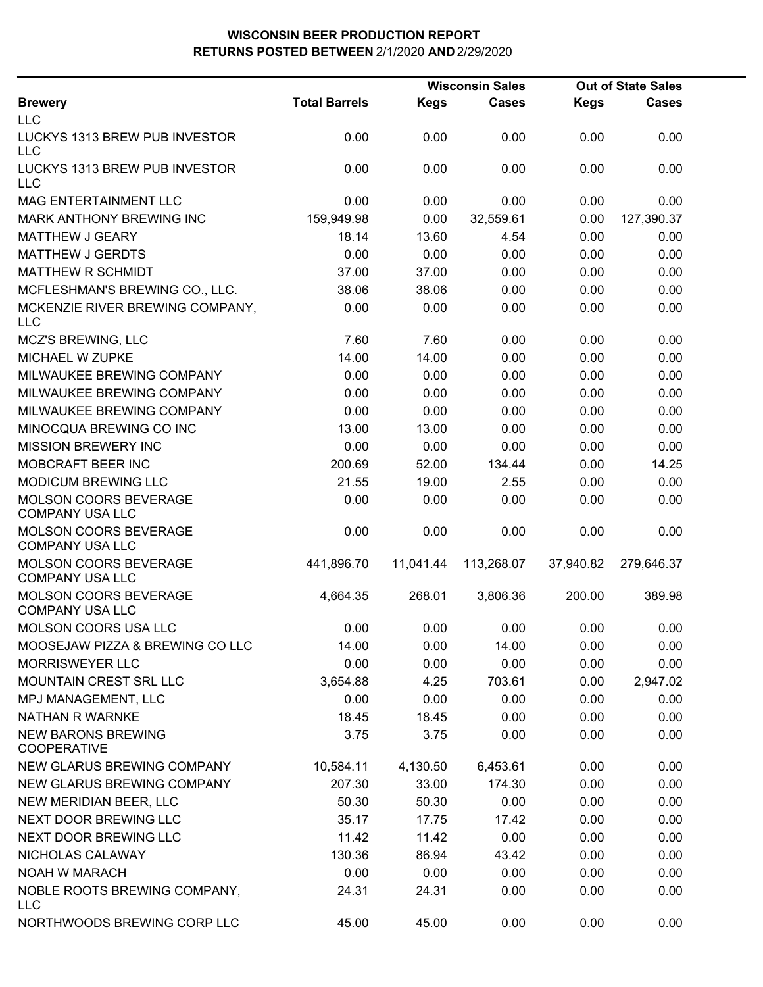|                                                 |                      |             | <b>Wisconsin Sales</b> |             | <b>Out of State Sales</b> |  |
|-------------------------------------------------|----------------------|-------------|------------------------|-------------|---------------------------|--|
| <b>Brewery</b>                                  | <b>Total Barrels</b> | <b>Kegs</b> | <b>Cases</b>           | <b>Kegs</b> | <b>Cases</b>              |  |
| <b>LLC</b>                                      |                      |             |                        |             |                           |  |
| LUCKYS 1313 BREW PUB INVESTOR<br><b>LLC</b>     | 0.00                 | 0.00        | 0.00                   | 0.00        | 0.00                      |  |
| LUCKYS 1313 BREW PUB INVESTOR<br><b>LLC</b>     | 0.00                 | 0.00        | 0.00                   | 0.00        | 0.00                      |  |
| MAG ENTERTAINMENT LLC                           | 0.00                 | 0.00        | 0.00                   | 0.00        | 0.00                      |  |
| <b>MARK ANTHONY BREWING INC</b>                 | 159,949.98           | 0.00        | 32,559.61              | 0.00        | 127,390.37                |  |
| <b>MATTHEW J GEARY</b>                          | 18.14                | 13.60       | 4.54                   | 0.00        | 0.00                      |  |
| <b>MATTHEW J GERDTS</b>                         | 0.00                 | 0.00        | 0.00                   | 0.00        | 0.00                      |  |
| MATTHEW R SCHMIDT                               | 37.00                | 37.00       | 0.00                   | 0.00        | 0.00                      |  |
| MCFLESHMAN'S BREWING CO., LLC.                  | 38.06                | 38.06       | 0.00                   | 0.00        | 0.00                      |  |
| MCKENZIE RIVER BREWING COMPANY,<br><b>LLC</b>   | 0.00                 | 0.00        | 0.00                   | 0.00        | 0.00                      |  |
| MCZ'S BREWING, LLC                              | 7.60                 | 7.60        | 0.00                   | 0.00        | 0.00                      |  |
| MICHAEL W ZUPKE                                 | 14.00                | 14.00       | 0.00                   | 0.00        | 0.00                      |  |
| MILWAUKEE BREWING COMPANY                       | 0.00                 | 0.00        | 0.00                   | 0.00        | 0.00                      |  |
| MILWAUKEE BREWING COMPANY                       | 0.00                 | 0.00        | 0.00                   | 0.00        | 0.00                      |  |
| MILWAUKEE BREWING COMPANY                       | 0.00                 | 0.00        | 0.00                   | 0.00        | 0.00                      |  |
| MINOCQUA BREWING CO INC                         | 13.00                | 13.00       | 0.00                   | 0.00        | 0.00                      |  |
| <b>MISSION BREWERY INC</b>                      | 0.00                 | 0.00        | 0.00                   | 0.00        | 0.00                      |  |
| MOBCRAFT BEER INC                               | 200.69               | 52.00       | 134.44                 | 0.00        | 14.25                     |  |
| MODICUM BREWING LLC                             | 21.55                | 19.00       | 2.55                   | 0.00        | 0.00                      |  |
| MOLSON COORS BEVERAGE<br><b>COMPANY USA LLC</b> | 0.00                 | 0.00        | 0.00                   | 0.00        | 0.00                      |  |
| MOLSON COORS BEVERAGE<br><b>COMPANY USA LLC</b> | 0.00                 | 0.00        | 0.00                   | 0.00        | 0.00                      |  |
| MOLSON COORS BEVERAGE<br><b>COMPANY USA LLC</b> | 441,896.70           | 11,041.44   | 113,268.07             | 37,940.82   | 279,646.37                |  |
| MOLSON COORS BEVERAGE<br><b>COMPANY USA LLC</b> | 4,664.35             | 268.01      | 3,806.36               | 200.00      | 389.98                    |  |
| <b>MOLSON COORS USA LLC</b>                     | 0.00                 | 0.00        | 0.00                   | 0.00        | 0.00                      |  |
| MOOSEJAW PIZZA & BREWING CO LLC                 | 14.00                | 0.00        | 14.00                  | 0.00        | 0.00                      |  |
| <b>MORRISWEYER LLC</b>                          | 0.00                 | 0.00        | 0.00                   | 0.00        | 0.00                      |  |
| MOUNTAIN CREST SRL LLC                          | 3,654.88             | 4.25        | 703.61                 | 0.00        | 2,947.02                  |  |
| MPJ MANAGEMENT, LLC                             | 0.00                 | 0.00        | 0.00                   | 0.00        | 0.00                      |  |
| <b>NATHAN R WARNKE</b>                          | 18.45                | 18.45       | 0.00                   | 0.00        | 0.00                      |  |
| <b>NEW BARONS BREWING</b><br><b>COOPERATIVE</b> | 3.75                 | 3.75        | 0.00                   | 0.00        | 0.00                      |  |
| NEW GLARUS BREWING COMPANY                      | 10,584.11            | 4,130.50    | 6,453.61               | 0.00        | 0.00                      |  |
| NEW GLARUS BREWING COMPANY                      | 207.30               | 33.00       | 174.30                 | 0.00        | 0.00                      |  |
| NEW MERIDIAN BEER, LLC                          | 50.30                | 50.30       | 0.00                   | 0.00        | 0.00                      |  |
| NEXT DOOR BREWING LLC                           | 35.17                | 17.75       | 17.42                  | 0.00        | 0.00                      |  |
| NEXT DOOR BREWING LLC                           | 11.42                | 11.42       | 0.00                   | 0.00        | 0.00                      |  |
| NICHOLAS CALAWAY                                | 130.36               | 86.94       | 43.42                  | 0.00        | 0.00                      |  |
| <b>NOAH W MARACH</b>                            | 0.00                 | 0.00        | 0.00                   | 0.00        | 0.00                      |  |
| NOBLE ROOTS BREWING COMPANY,<br><b>LLC</b>      | 24.31                | 24.31       | 0.00                   | 0.00        | 0.00                      |  |
| NORTHWOODS BREWING CORP LLC                     | 45.00                | 45.00       | 0.00                   | 0.00        | 0.00                      |  |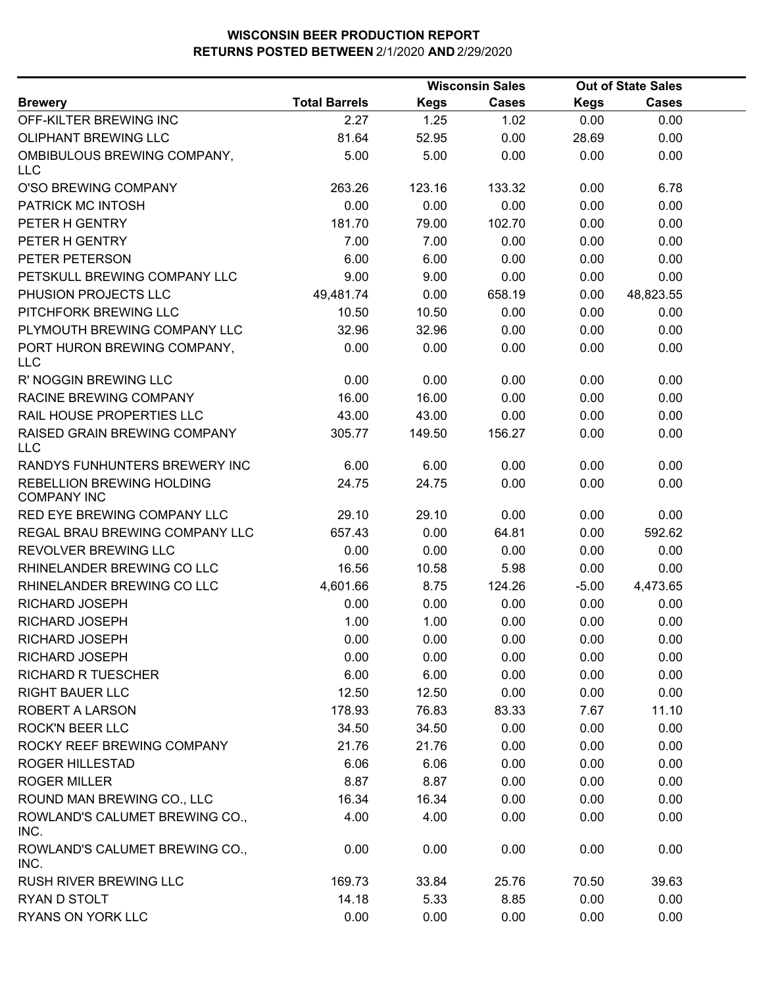|                                                 |                      |        | <b>Wisconsin Sales</b> |             | <b>Out of State Sales</b> |  |  |
|-------------------------------------------------|----------------------|--------|------------------------|-------------|---------------------------|--|--|
| <b>Brewery</b>                                  | <b>Total Barrels</b> | Kegs   | <b>Cases</b>           | <b>Kegs</b> | <b>Cases</b>              |  |  |
| OFF-KILTER BREWING INC                          | 2.27                 | 1.25   | 1.02                   | 0.00        | 0.00                      |  |  |
| <b>OLIPHANT BREWING LLC</b>                     | 81.64                | 52.95  | 0.00                   | 28.69       | 0.00                      |  |  |
| OMBIBULOUS BREWING COMPANY,<br><b>LLC</b>       | 5.00                 | 5.00   | 0.00                   | 0.00        | 0.00                      |  |  |
| O'SO BREWING COMPANY                            | 263.26               | 123.16 | 133.32                 | 0.00        | 6.78                      |  |  |
| PATRICK MC INTOSH                               | 0.00                 | 0.00   | 0.00                   | 0.00        | 0.00                      |  |  |
| PETER H GENTRY                                  | 181.70               | 79.00  | 102.70                 | 0.00        | 0.00                      |  |  |
| PETER H GENTRY                                  | 7.00                 | 7.00   | 0.00                   | 0.00        | 0.00                      |  |  |
| PETER PETERSON                                  | 6.00                 | 6.00   | 0.00                   | 0.00        | 0.00                      |  |  |
| PETSKULL BREWING COMPANY LLC                    | 9.00                 | 9.00   | 0.00                   | 0.00        | 0.00                      |  |  |
| PHUSION PROJECTS LLC                            | 49,481.74            | 0.00   | 658.19                 | 0.00        | 48,823.55                 |  |  |
| PITCHFORK BREWING LLC                           | 10.50                | 10.50  | 0.00                   | 0.00        | 0.00                      |  |  |
| PLYMOUTH BREWING COMPANY LLC                    | 32.96                | 32.96  | 0.00                   | 0.00        | 0.00                      |  |  |
| PORT HURON BREWING COMPANY,<br><b>LLC</b>       | 0.00                 | 0.00   | 0.00                   | 0.00        | 0.00                      |  |  |
| R' NOGGIN BREWING LLC                           | 0.00                 | 0.00   | 0.00                   | 0.00        | 0.00                      |  |  |
| <b>RACINE BREWING COMPANY</b>                   | 16.00                | 16.00  | 0.00                   | 0.00        | 0.00                      |  |  |
| RAIL HOUSE PROPERTIES LLC                       | 43.00                | 43.00  | 0.00                   | 0.00        | 0.00                      |  |  |
| RAISED GRAIN BREWING COMPANY<br><b>LLC</b>      | 305.77               | 149.50 | 156.27                 | 0.00        | 0.00                      |  |  |
| RANDYS FUNHUNTERS BREWERY INC                   | 6.00                 | 6.00   | 0.00                   | 0.00        | 0.00                      |  |  |
| REBELLION BREWING HOLDING<br><b>COMPANY INC</b> | 24.75                | 24.75  | 0.00                   | 0.00        | 0.00                      |  |  |
| RED EYE BREWING COMPANY LLC                     | 29.10                | 29.10  | 0.00                   | 0.00        | 0.00                      |  |  |
| REGAL BRAU BREWING COMPANY LLC                  | 657.43               | 0.00   | 64.81                  | 0.00        | 592.62                    |  |  |
| REVOLVER BREWING LLC                            | 0.00                 | 0.00   | 0.00                   | 0.00        | 0.00                      |  |  |
| RHINELANDER BREWING CO LLC                      | 16.56                | 10.58  | 5.98                   | 0.00        | 0.00                      |  |  |
| RHINELANDER BREWING CO LLC                      | 4,601.66             | 8.75   | 124.26                 | $-5.00$     | 4,473.65                  |  |  |
| RICHARD JOSEPH                                  | 0.00                 | 0.00   | 0.00                   | 0.00        | 0.00                      |  |  |
| RICHARD JOSEPH                                  | 1.00                 | 1.00   | 0.00                   | 0.00        | 0.00                      |  |  |
| RICHARD JOSEPH                                  | 0.00                 | 0.00   | 0.00                   | 0.00        | 0.00                      |  |  |
| RICHARD JOSEPH                                  | 0.00                 | 0.00   | 0.00                   | 0.00        | 0.00                      |  |  |
| <b>RICHARD R TUESCHER</b>                       | 6.00                 | 6.00   | 0.00                   | 0.00        | 0.00                      |  |  |
| <b>RIGHT BAUER LLC</b>                          | 12.50                | 12.50  | 0.00                   | 0.00        | 0.00                      |  |  |
| <b>ROBERT A LARSON</b>                          | 178.93               | 76.83  | 83.33                  | 7.67        | 11.10                     |  |  |
| <b>ROCK'N BEER LLC</b>                          | 34.50                | 34.50  | 0.00                   | 0.00        | 0.00                      |  |  |
| ROCKY REEF BREWING COMPANY                      | 21.76                | 21.76  | 0.00                   | 0.00        | 0.00                      |  |  |
| <b>ROGER HILLESTAD</b>                          | 6.06                 | 6.06   | 0.00                   | 0.00        | 0.00                      |  |  |
| <b>ROGER MILLER</b>                             | 8.87                 | 8.87   | 0.00                   | 0.00        | 0.00                      |  |  |
| ROUND MAN BREWING CO., LLC                      | 16.34                | 16.34  | 0.00                   | 0.00        | 0.00                      |  |  |
| ROWLAND'S CALUMET BREWING CO.,<br>INC.          | 4.00                 | 4.00   | 0.00                   | 0.00        | 0.00                      |  |  |
| ROWLAND'S CALUMET BREWING CO.,<br>INC.          | 0.00                 | 0.00   | 0.00                   | 0.00        | 0.00                      |  |  |
| RUSH RIVER BREWING LLC                          | 169.73               | 33.84  | 25.76                  | 70.50       | 39.63                     |  |  |
| RYAN D STOLT                                    | 14.18                | 5.33   | 8.85                   | 0.00        | 0.00                      |  |  |
| <b>RYANS ON YORK LLC</b>                        | 0.00                 | 0.00   | 0.00                   | 0.00        | 0.00                      |  |  |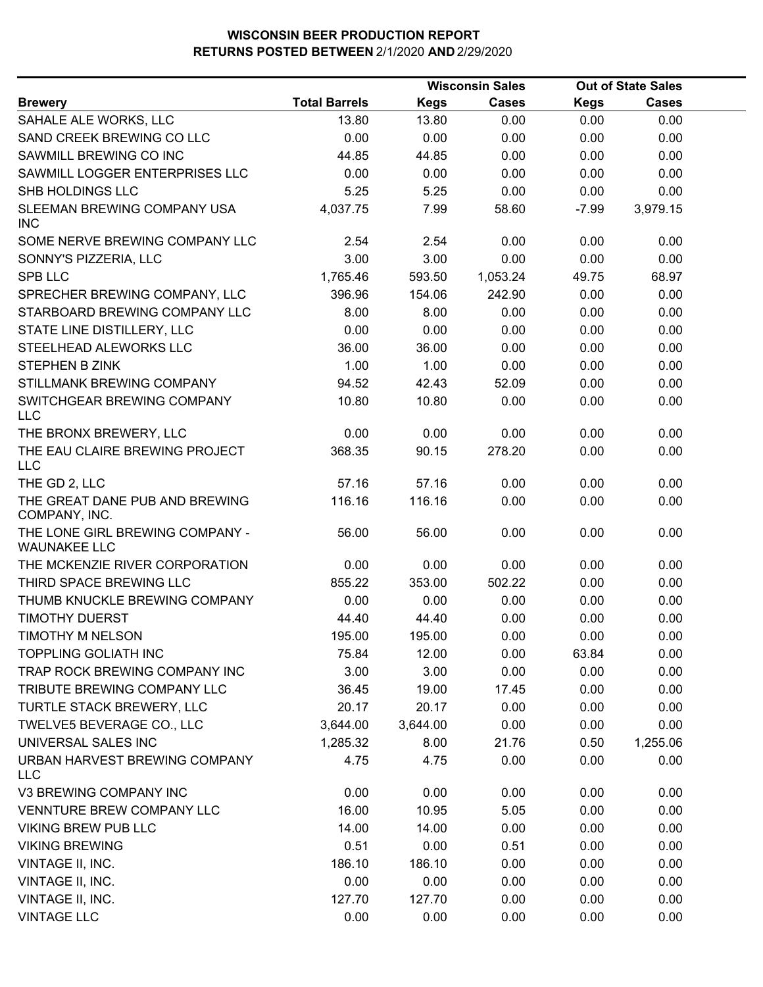|                                                        |                      |             | <b>Wisconsin Sales</b> |             | <b>Out of State Sales</b> |  |
|--------------------------------------------------------|----------------------|-------------|------------------------|-------------|---------------------------|--|
| <b>Brewery</b>                                         | <b>Total Barrels</b> | <b>Kegs</b> | <b>Cases</b>           | <b>Kegs</b> | <b>Cases</b>              |  |
| SAHALE ALE WORKS, LLC                                  | 13.80                | 13.80       | 0.00                   | 0.00        | 0.00                      |  |
| SAND CREEK BREWING CO LLC                              | 0.00                 | 0.00        | 0.00                   | 0.00        | 0.00                      |  |
| SAWMILL BREWING CO INC                                 | 44.85                | 44.85       | 0.00                   | 0.00        | 0.00                      |  |
| SAWMILL LOGGER ENTERPRISES LLC                         | 0.00                 | 0.00        | 0.00                   | 0.00        | 0.00                      |  |
| SHB HOLDINGS LLC                                       | 5.25                 | 5.25        | 0.00                   | 0.00        | 0.00                      |  |
| SLEEMAN BREWING COMPANY USA<br><b>INC</b>              | 4,037.75             | 7.99        | 58.60                  | $-7.99$     | 3,979.15                  |  |
| SOME NERVE BREWING COMPANY LLC                         | 2.54                 | 2.54        | 0.00                   | 0.00        | 0.00                      |  |
| SONNY'S PIZZERIA, LLC                                  | 3.00                 | 3.00        | 0.00                   | 0.00        | 0.00                      |  |
| <b>SPB LLC</b>                                         | 1,765.46             | 593.50      | 1,053.24               | 49.75       | 68.97                     |  |
| SPRECHER BREWING COMPANY, LLC                          | 396.96               | 154.06      | 242.90                 | 0.00        | 0.00                      |  |
| STARBOARD BREWING COMPANY LLC                          | 8.00                 | 8.00        | 0.00                   | 0.00        | 0.00                      |  |
| STATE LINE DISTILLERY, LLC                             | 0.00                 | 0.00        | 0.00                   | 0.00        | 0.00                      |  |
| STEELHEAD ALEWORKS LLC                                 | 36.00                | 36.00       | 0.00                   | 0.00        | 0.00                      |  |
| <b>STEPHEN B ZINK</b>                                  | 1.00                 | 1.00        | 0.00                   | 0.00        | 0.00                      |  |
| STILLMANK BREWING COMPANY                              | 94.52                | 42.43       | 52.09                  | 0.00        | 0.00                      |  |
| SWITCHGEAR BREWING COMPANY<br><b>LLC</b>               | 10.80                | 10.80       | 0.00                   | 0.00        | 0.00                      |  |
| THE BRONX BREWERY, LLC                                 | 0.00                 | 0.00        | 0.00                   | 0.00        | 0.00                      |  |
| THE EAU CLAIRE BREWING PROJECT<br><b>LLC</b>           | 368.35               | 90.15       | 278.20                 | 0.00        | 0.00                      |  |
| THE GD 2, LLC                                          | 57.16                | 57.16       | 0.00                   | 0.00        | 0.00                      |  |
| THE GREAT DANE PUB AND BREWING<br>COMPANY, INC.        | 116.16               | 116.16      | 0.00                   | 0.00        | 0.00                      |  |
| THE LONE GIRL BREWING COMPANY -<br><b>WAUNAKEE LLC</b> | 56.00                | 56.00       | 0.00                   | 0.00        | 0.00                      |  |
| THE MCKENZIE RIVER CORPORATION                         | 0.00                 | 0.00        | 0.00                   | 0.00        | 0.00                      |  |
| THIRD SPACE BREWING LLC                                | 855.22               | 353.00      | 502.22                 | 0.00        | 0.00                      |  |
| THUMB KNUCKLE BREWING COMPANY                          | 0.00                 | 0.00        | 0.00                   | 0.00        | 0.00                      |  |
| <b>TIMOTHY DUERST</b>                                  | 44.40                | 44.40       | 0.00                   | 0.00        | 0.00                      |  |
| <b>TIMOTHY M NELSON</b>                                | 195.00               | 195.00      | 0.00                   | 0.00        | 0.00                      |  |
| <b>TOPPLING GOLIATH INC</b>                            | 75.84                | 12.00       | 0.00                   | 63.84       | 0.00                      |  |
| TRAP ROCK BREWING COMPANY INC                          | 3.00                 | 3.00        | 0.00                   | 0.00        | 0.00                      |  |
| TRIBUTE BREWING COMPANY LLC                            | 36.45                | 19.00       | 17.45                  | 0.00        | 0.00                      |  |
| TURTLE STACK BREWERY, LLC                              | 20.17                | 20.17       | 0.00                   | 0.00        | 0.00                      |  |
| TWELVE5 BEVERAGE CO., LLC                              | 3,644.00             | 3,644.00    | 0.00                   | 0.00        | 0.00                      |  |
| UNIVERSAL SALES INC                                    | 1,285.32             | 8.00        | 21.76                  | 0.50        | 1,255.06                  |  |
| URBAN HARVEST BREWING COMPANY<br>LLC                   | 4.75                 | 4.75        | 0.00                   | 0.00        | 0.00                      |  |
| V3 BREWING COMPANY INC                                 | 0.00                 | 0.00        | 0.00                   | 0.00        | 0.00                      |  |
| VENNTURE BREW COMPANY LLC                              | 16.00                | 10.95       | 5.05                   | 0.00        | 0.00                      |  |
| <b>VIKING BREW PUB LLC</b>                             | 14.00                | 14.00       | 0.00                   | 0.00        | 0.00                      |  |
| <b>VIKING BREWING</b>                                  | 0.51                 | 0.00        | 0.51                   | 0.00        | 0.00                      |  |
| VINTAGE II, INC.                                       | 186.10               | 186.10      | 0.00                   | 0.00        | 0.00                      |  |
| VINTAGE II, INC.                                       | 0.00                 | 0.00        | 0.00                   | 0.00        | 0.00                      |  |
| VINTAGE II, INC.                                       | 127.70               | 127.70      | 0.00                   | 0.00        | 0.00                      |  |
| <b>VINTAGE LLC</b>                                     | 0.00                 | 0.00        | 0.00                   | 0.00        | 0.00                      |  |
|                                                        |                      |             |                        |             |                           |  |